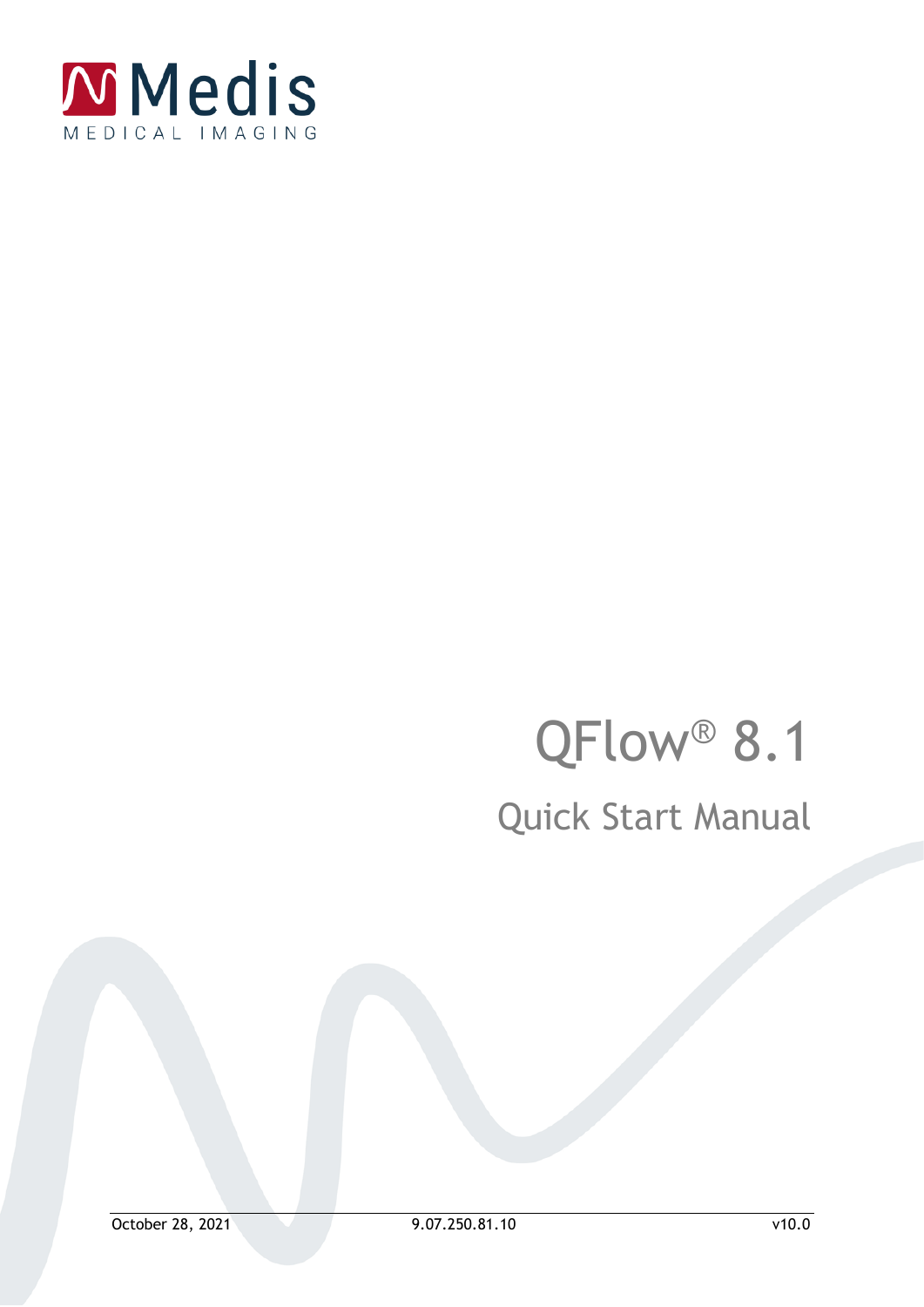

# QFlow<sup>®</sup> 8.1 Quick Start Manual

October 28, 2021 9.07.250.81.10 v10.0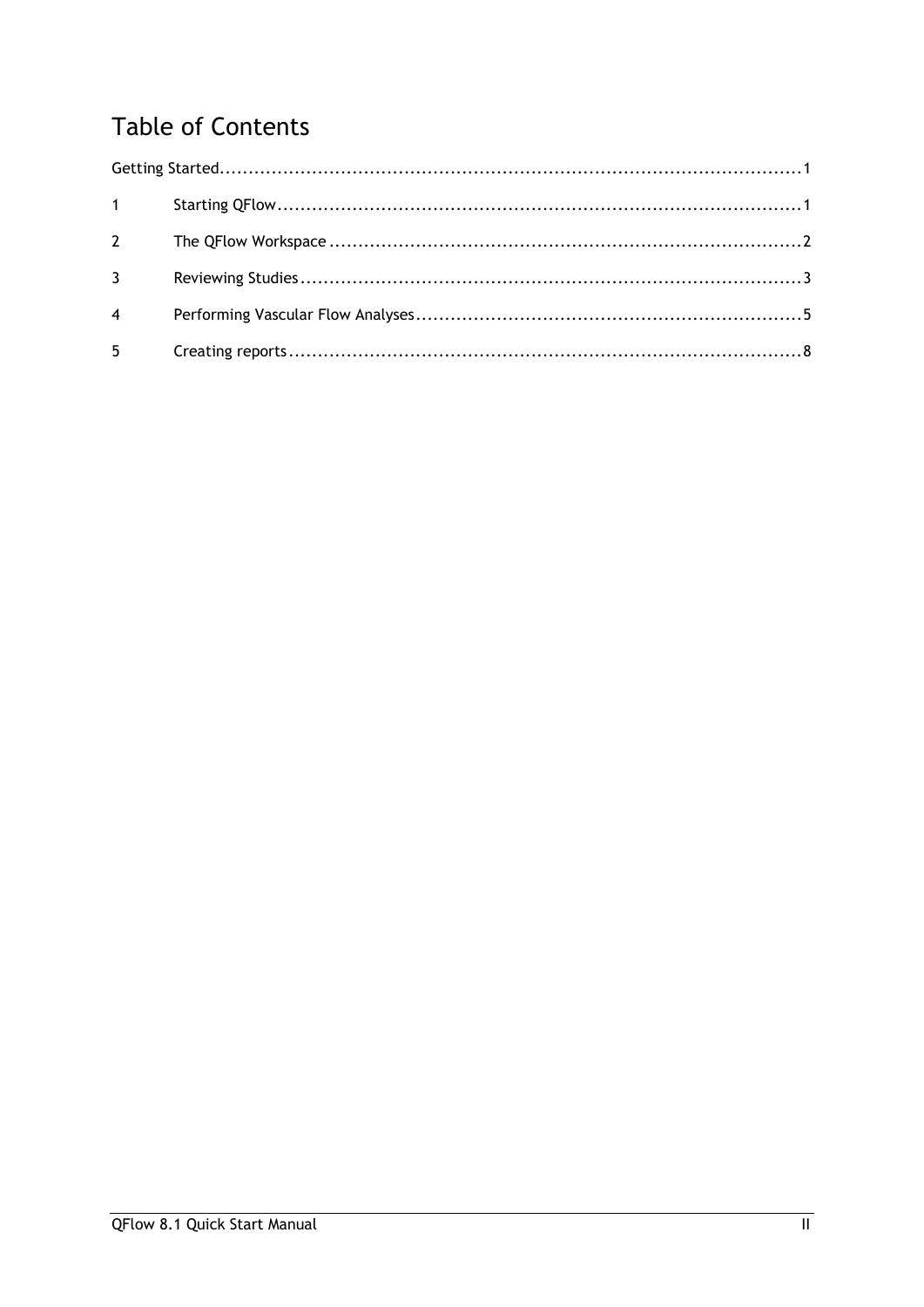### **Table of Contents**

| $1 \qquad \qquad$ |  |
|-------------------|--|
| $2^{\sim}$        |  |
| $3^{\circ}$       |  |
| $\overline{4}$    |  |
| $5^{\circ}$       |  |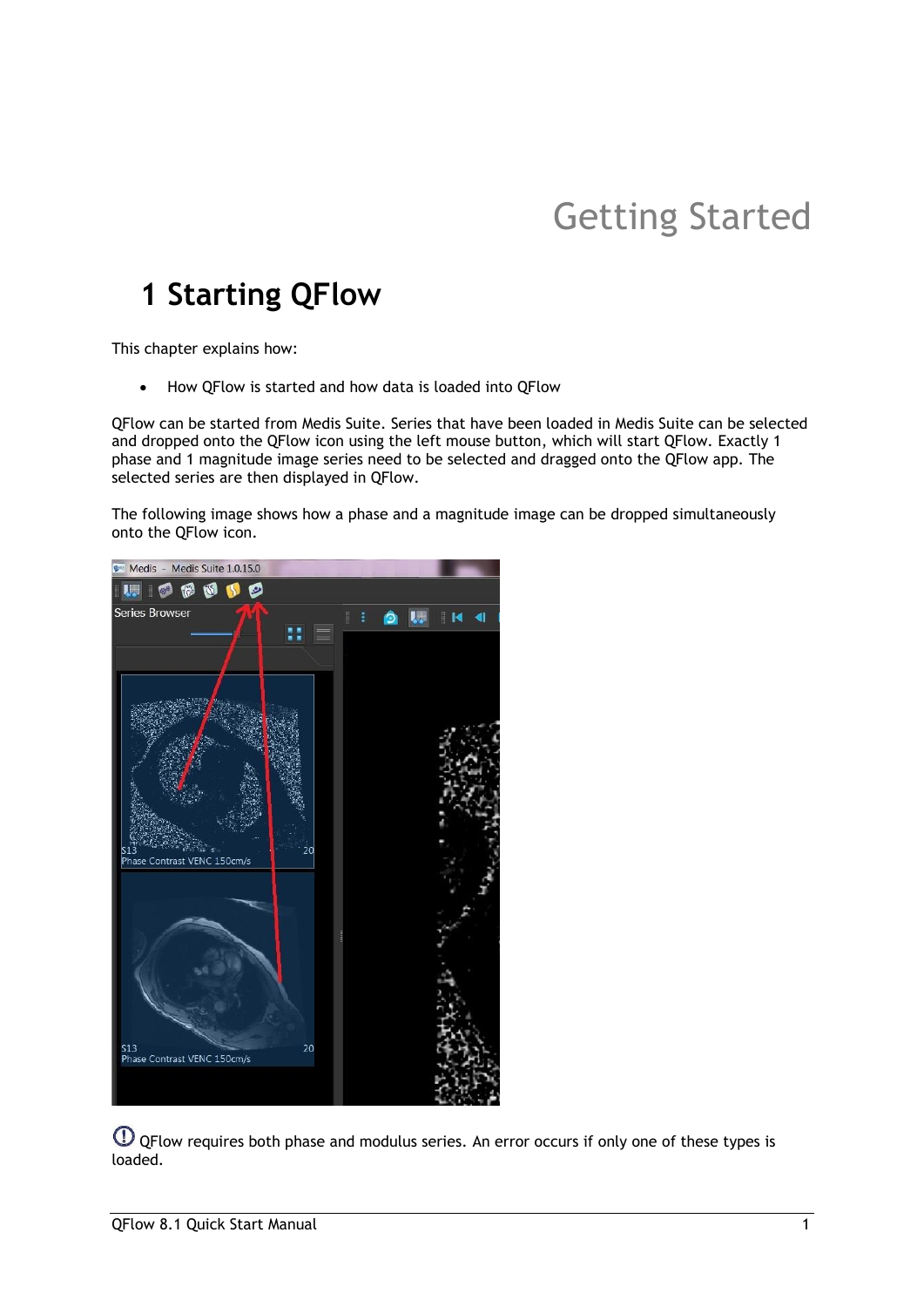# Getting Started

### <span id="page-2-1"></span><span id="page-2-0"></span>**1 Starting QFlow**

This chapter explains how:

• How QFlow is started and how data is loaded into QFlow

QFlow can be started from Medis Suite. Series that have been loaded in Medis Suite can be selected and dropped onto the QFlow icon using the left mouse button, which will start QFlow. Exactly 1 phase and 1 magnitude image series need to be selected and dragged onto the QFlow app. The selected series are then displayed in QFlow.

The following image shows how a phase and a magnitude image can be dropped simultaneously onto the QFlow icon.



QFlow requires both phase and modulus series. An error occurs if only one of these types is loaded.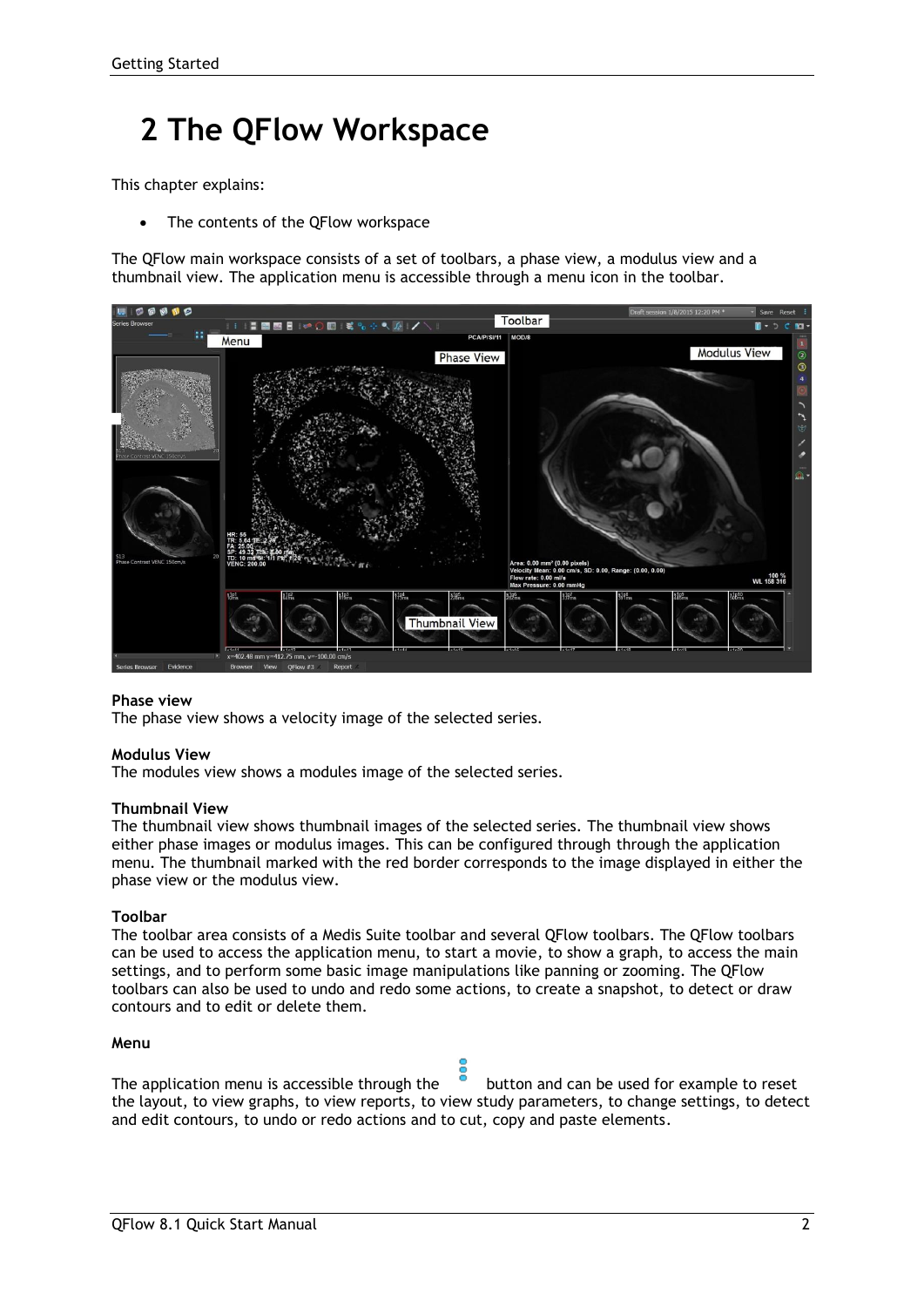## <span id="page-3-0"></span>**2 The QFlow Workspace**

This chapter explains:

The contents of the QFlow workspace

The QFlow main workspace consists of a set of toolbars, a phase view, a modulus view and a thumbnail view. The application menu is accessible through a menu icon in the toolbar.



#### **Phase view**

The phase view shows a velocity image of the selected series.

#### **Modulus View**

The modules view shows a modules image of the selected series.

#### **Thumbnail View**

The thumbnail view shows thumbnail images of the selected series. The thumbnail view shows either phase images or modulus images. This can be configured through through the application menu. The thumbnail marked with the red border corresponds to the image displayed in either the phase view or the modulus view.

#### **Toolbar**

The toolbar area consists of a Medis Suite toolbar and several QFlow toolbars. The QFlow toolbars can be used to access the application menu, to start a movie, to show a graph, to access the main settings, and to perform some basic image manipulations like panning or zooming. The QFlow toolbars can also be used to undo and redo some actions, to create a snapshot, to detect or draw contours and to edit or delete them.

#### **Menu**

The application menu is accessible through the  $\bullet$  button and can be used for example to reset the layout, to view graphs, to view reports, to view study parameters, to change settings, to detect and edit contours, to undo or redo actions and to cut, copy and paste elements.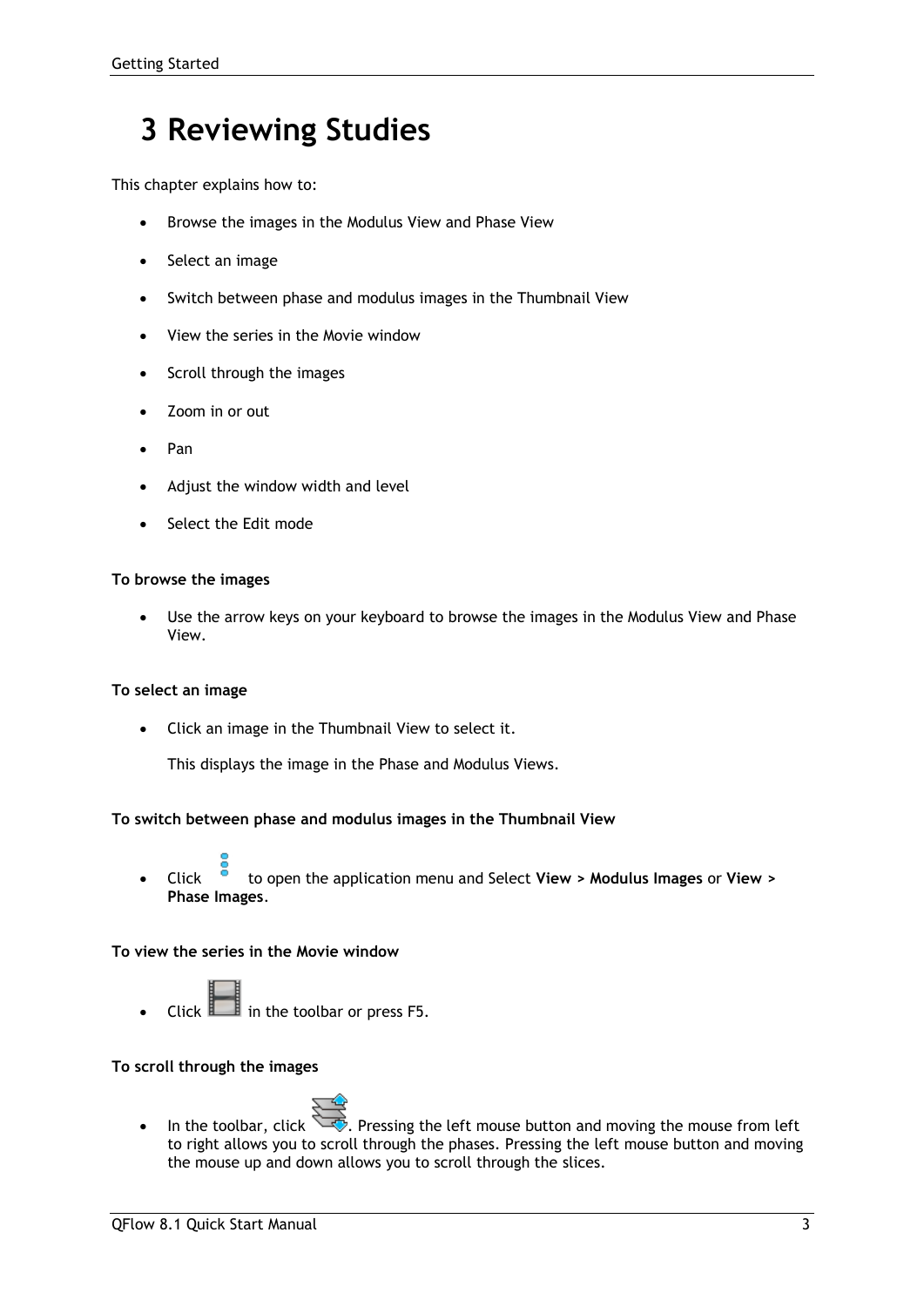### <span id="page-4-0"></span>**3 Reviewing Studies**

This chapter explains how to:

- Browse the images in the Modulus View and Phase View
- Select an image
- Switch between phase and modulus images in the Thumbnail View
- View the series in the Movie window
- Scroll through the images
- Zoom in or out
- Pan
- Adjust the window width and level
- Select the Edit mode

#### **To browse the images**

• Use the arrow keys on your keyboard to browse the images in the Modulus View and Phase View.

#### **To select an image**

• Click an image in the Thumbnail View to select it.

This displays the image in the Phase and Modulus Views.

#### **To switch between phase and modulus images in the Thumbnail View**

• Click to open the application menu and Select **View > Modulus Images** or **View > Phase Images**.

#### **To view the series in the Movie window**

• Click in the toolbar or press F5.

#### **To scroll through the images**



• In the toolbar, click  $\Box$ . Pressing the left mouse button and moving the mouse from left to right allows you to scroll through the phases. Pressing the left mouse button and moving the mouse up and down allows you to scroll through the slices.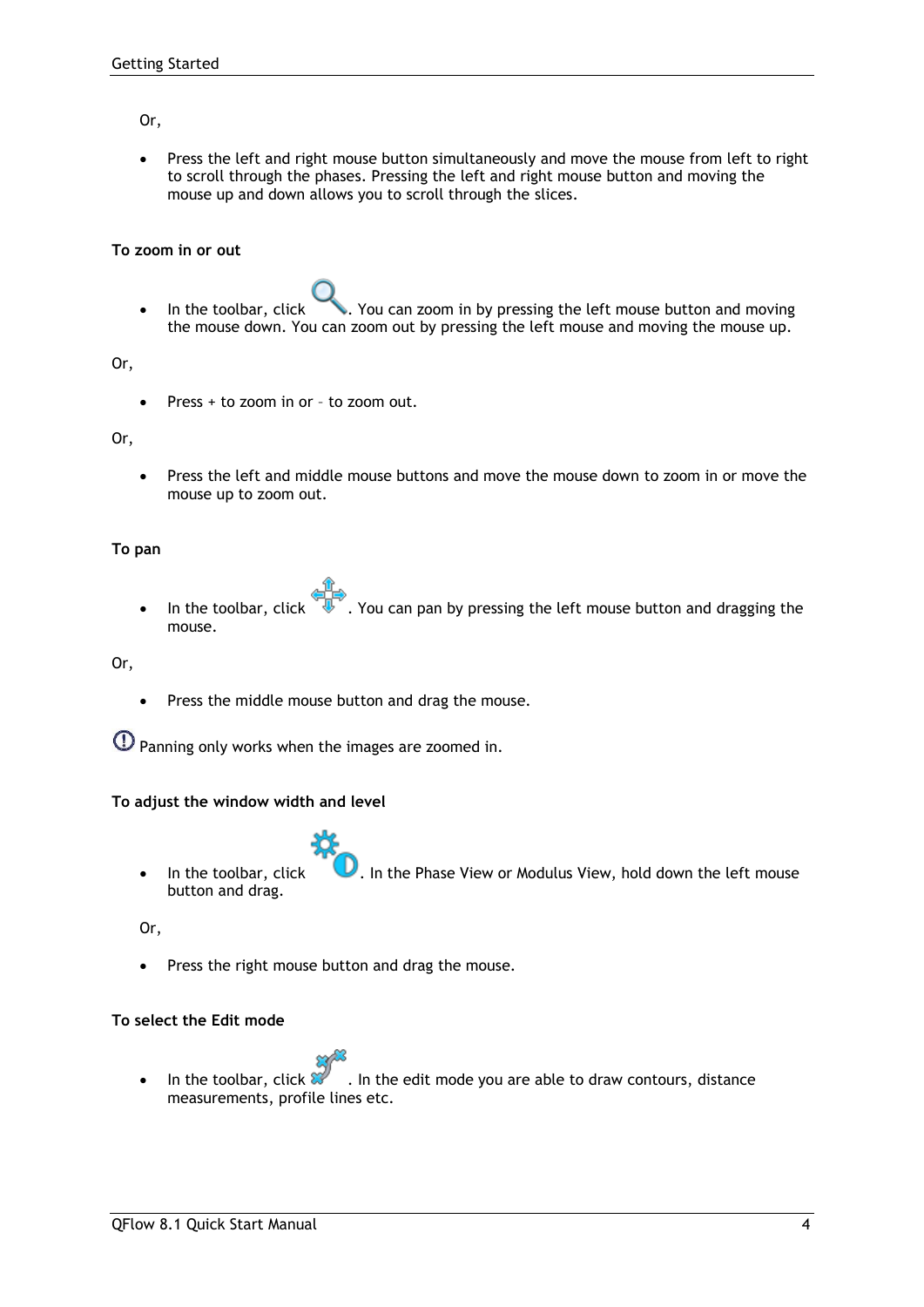#### Or,

Press the left and right mouse button simultaneously and move the mouse from left to right to scroll through the phases. Pressing the left and right mouse button and moving the mouse up and down allows you to scroll through the slices.

#### **To zoom in or out**

• In the toolbar, click . You can zoom in by pressing the left mouse button and moving the mouse down. You can zoom out by pressing the left mouse and moving the mouse up.

Or,

• Press + to zoom in or – to zoom out.

Or,

Press the left and middle mouse buttons and move the mouse down to zoom in or move the mouse up to zoom out.

#### **To pan**

• In the toolbar, click  $\mathbb{U}^*$ . You can pan by pressing the left mouse button and dragging the mouse.

Or,

Press the middle mouse button and drag the mouse.

Panning only works when the images are zoomed in.

#### **To adjust the window width and level**

• In the toolbar, click **U**. In the Phase View or Modulus View, hold down the left mouse button and drag.

Or,

• Press the right mouse button and drag the mouse.

#### **To select the Edit mode**

In the toolbar, click  $\mathbb{X}^{\bullet}$  . In the edit mode you are able to draw contours, distance measurements, profile lines etc.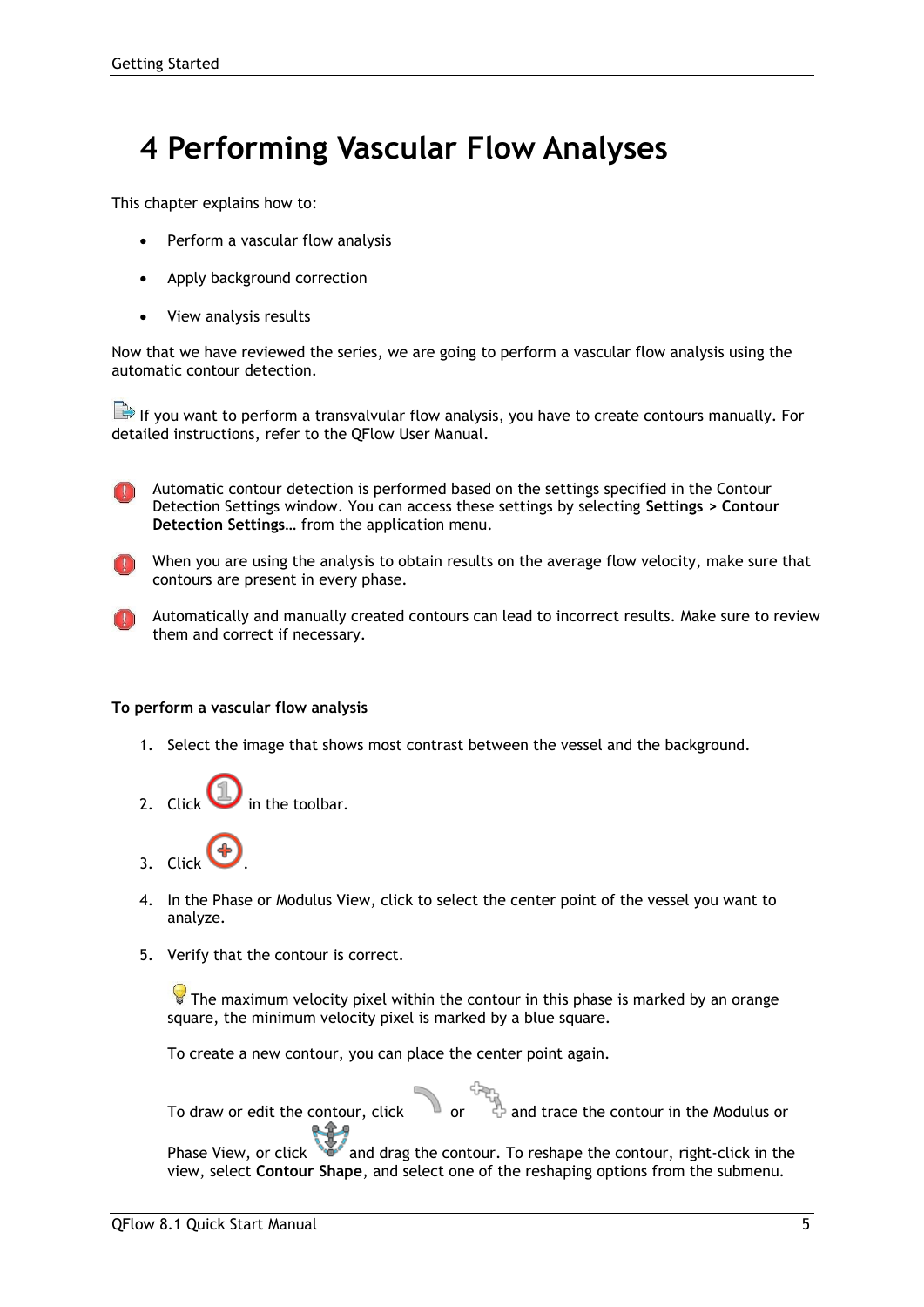### <span id="page-6-0"></span>**4 Performing Vascular Flow Analyses**

This chapter explains how to:

- Perform a vascular flow analysis
- Apply background correction
- View analysis results

Now that we have reviewed the series, we are going to perform a vascular flow analysis using the automatic contour detection.

If you want to perform a transvalvular flow analysis, you have to create contours manually. For detailed instructions, refer to the QFlow User Manual.

Automatic contour detection is performed based on the settings specified in the Contour Detection Settings window. You can access these settings by selecting **Settings > Contour Detection Settings…** from the application menu.

- When you are using the analysis to obtain results on the average flow velocity, make sure that contours are present in every phase.
- Automatically and manually created contours can lead to incorrect results. Make sure to review them and correct if necessary.

#### **To perform a vascular flow analysis**

- 1. Select the image that shows most contrast between the vessel and the background.
- 2. Click  $\bigcup$  in the toolbar.
- 3. Click .
- 4. In the Phase or Modulus View, click to select the center point of the vessel you want to analyze.
- 5. Verify that the contour is correct.

 $\blacktriangleright$  The maximum velocity pixel within the contour in this phase is marked by an orange square, the minimum velocity pixel is marked by a blue square.

To create a new contour, you can place the center point again.

To draw or edit the contour, click or and trace the contour in the Modulus or

Phase View, or click and drag the contour. To reshape the contour, right-click in the view, select **Contour Shape**, and select one of the reshaping options from the submenu.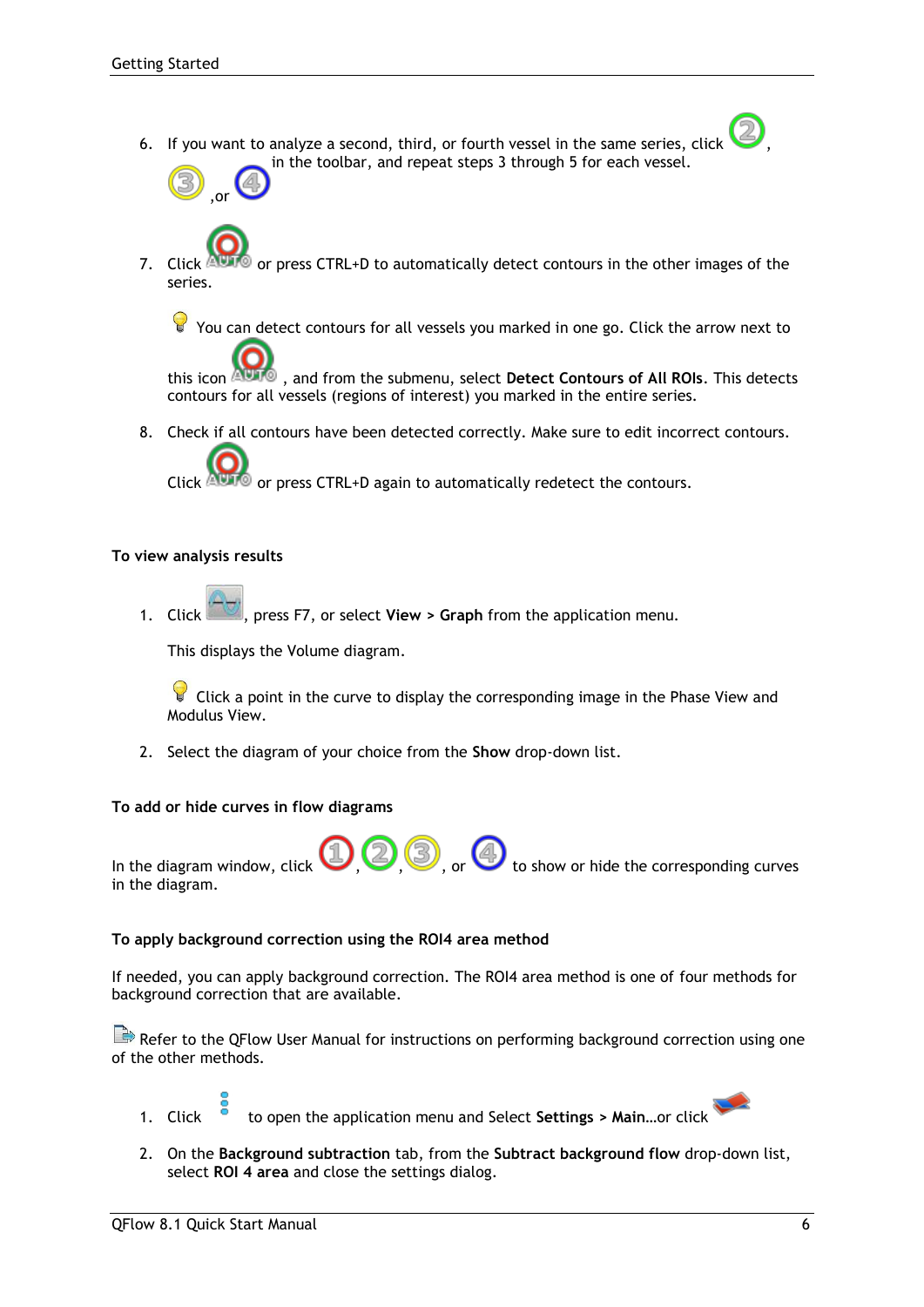6. If you want to analyze a second, third, or fourth vessel in the same series, click , in the toolbar, and repeat steps 3 through 5 for each vessel.



7. Click  $\triangle$  or press CTRL+D to automatically detect contours in the other images of the series.

You can detect contours for all vessels you marked in one go. Click the arrow next to

this icon , and from the submenu, select **Detect Contours of All ROIs**. This detects contours for all vessels (regions of interest) you marked in the entire series.

8. Check if all contours have been detected correctly. Make sure to edit incorrect contours.

Click  $\mathbb{A}$  or press CTRL+D again to automatically redetect the contours.

#### **To view analysis results**

1. Click , press F7, or select **View > Graph** from the application menu.

This displays the Volume diagram.

 $\blacktriangleright$  Click a point in the curve to display the corresponding image in the Phase View and Modulus View.

2. Select the diagram of your choice from the **Show** drop-down list.

#### **To add or hide curves in flow diagrams**



#### **To apply background correction using the ROI4 area method**

If needed, you can apply background correction. The ROI4 area method is one of four methods for background correction that are available.

Refer to the QFlow User Manual for instructions on performing background correction using one of the other methods.

1. Click to open the application menu and Select **Settings > Main…**or click

2. On the **Background subtraction** tab, from the **Subtract background flow** drop-down list, select **ROI 4 area** and close the settings dialog.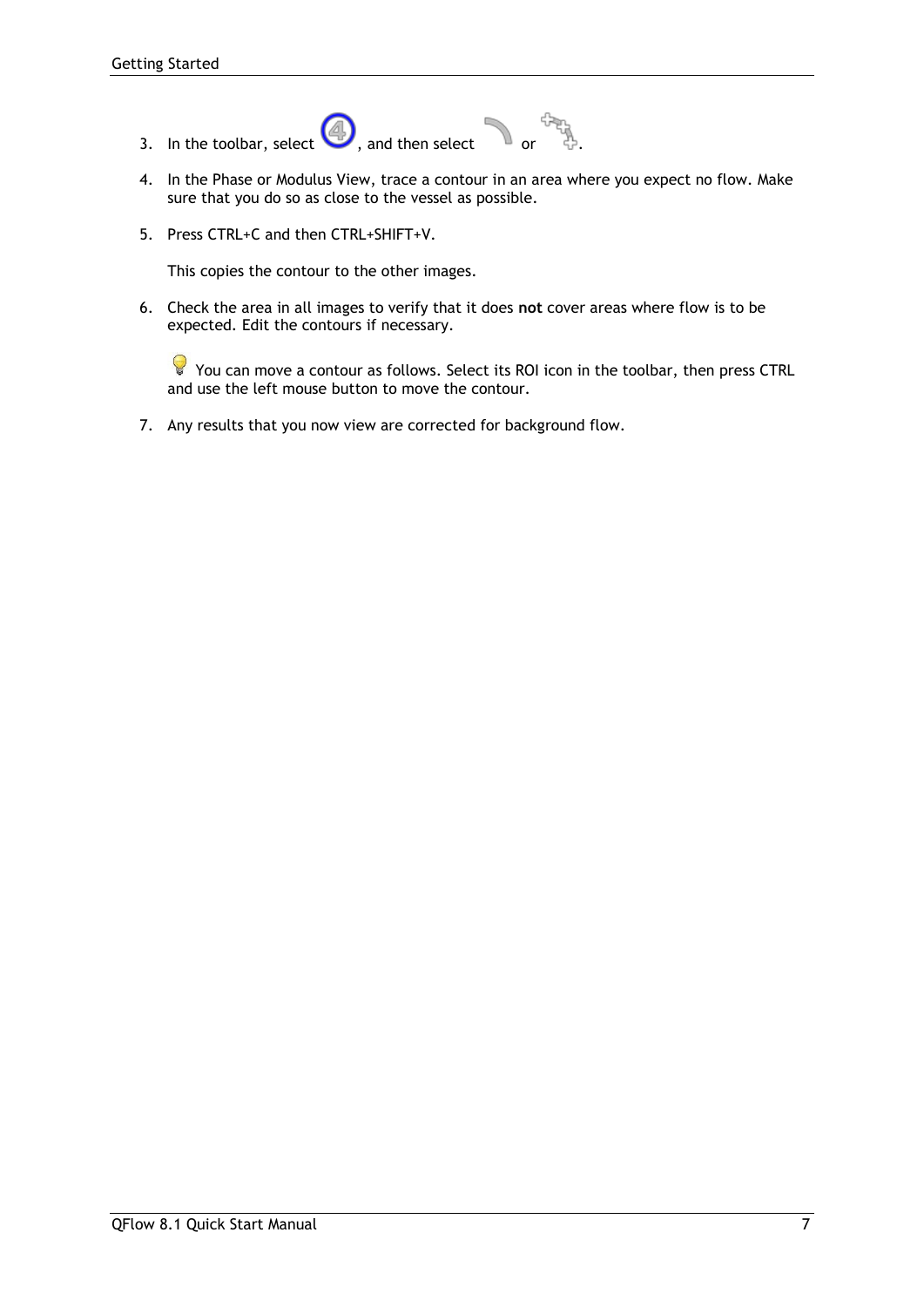- 3. In the toolbar, select  $\bigcirc$ , and then select or .
- 4. In the Phase or Modulus View, trace a contour in an area where you expect no flow. Make sure that you do so as close to the vessel as possible.
- 5. Press CTRL+C and then CTRL+SHIFT+V.

This copies the contour to the other images.

6. Check the area in all images to verify that it does **not** cover areas where flow is to be expected. Edit the contours if necessary.

You can move a contour as follows. Select its ROI icon in the toolbar, then press CTRL and use the left mouse button to move the contour.

7. Any results that you now view are corrected for background flow.